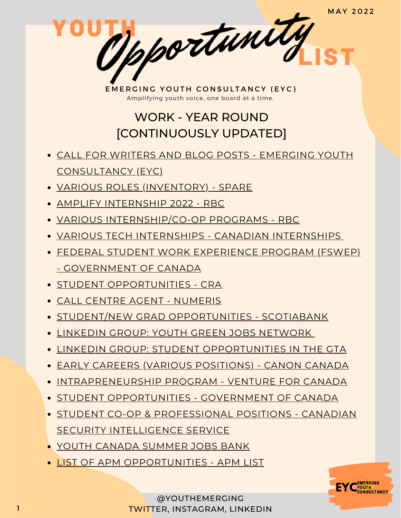EMERGING YOUTH CONSULTANCY (EYC) Amplifying youth voice, one board at a time.

pportunity

# WORK - YEAR ROUND [CONTINUOUSLY UPDATED]

- CALL FOR WRITERS AND BLOG POSTS EMERGING YOUTH [CONSULTANCY](https://www.emergingyouth.info/youthhub) (EYC)
- VARIOUS ROLES [\(INVENTORY\)](https://jobs.lever.co/sparelabs/90ac2a45-b8fe-4004-97ca-4f37d88bcf70) SPARE
- AMPLIFY [INTERNSHIP](https://jobs.rbc.com/ca/en/amplify#Amplify2022_Jobs) 2022 RBC
- VARIOUS [INTERNSHIP/CO-OP](https://jobs.rbc.com/ca/en/featuredopportunities/student-early-talent-jobs) PROGRAMS RBC
- VARIOUS TECH INTERNSHIPS CANADIAN [INTERNSHIPS](https://www.findcanadianinternships.ca/)
- FEDERAL STUDENT WORK EXPERIENCE PROGRAM (FSWEP) - [GOVERNMENT](https://www.canada.ca/en/public-service-commission/jobs/services/recruitment/students/federal-student-work-program.html) OF CANADA
- **STUDENT [OPPORTUNITIES](https://careers-carrieres.cra-arc.gc.ca/gol-ged/wcis/pub/rtrvjbpst.action?pi=D06726B228B01EDBB2C1A18D2C3EA0F2) CRA**
- CALL CENTRE AGENT [NUMERIS](https://numeris.csod.com/ux/ats/careersite/6/home/requisition/406?c=numeris)
- STUDENT/NEW GRAD [OPPORTUNITIES](https://jobs.scotiabank.com/go/Student-&-New-Grad-Jobs/2298417/?utm_campaign=JB_Sept20_Campus_CareerSite_CTA_EN) SCOTIABANK
- LINKEDIN GROUP: YOUTH GREEN JOBS [NETWORK](https://www.linkedin.com/groups/12567805/)
- LINKEDIN GROUP: STUDENT [OPPORTUNITIES](https://www.linkedin.com/groups/12455311) IN THE GTA
- EARLY CAREERS (VARIOUS [POSITIONS\)](https://careers.canon.ca/early-careers/) CANON CANADA
- [INTRAPRENEURSHIP](https://ventureforcanada.ca/programs/intrapreneurship) PROGRAM VENTURE FOR CANADA
- **STUDENT [OPPORTUNITIES](https://jobs-emplois.cse-cst.gc.ca/en/careers-carrieres/students-etudiants/opportunities) GOVERNMENT OF CANADA**
- **STUDENT CO-OP & [PROFESSIONAL](https://www.canada.ca/en/security-intelligence-service/corporate/csis-jobs/available-jobs.html) POSITIONS CANADIAN** SECURITY INTELLIGENCE SERVICE
- YOUTH CANADA [SUMMER](https://www.jobbank.gc.ca/jobsearch/jobsearch?fsrc=21&searchstring=&locationstring=&mid=&button.submit=Search) JOBS BANK
- **. LIST OF APM [OPPORTUNITIES](https://apmlist.com/) APM [LIST](https://apmlist.com/)**

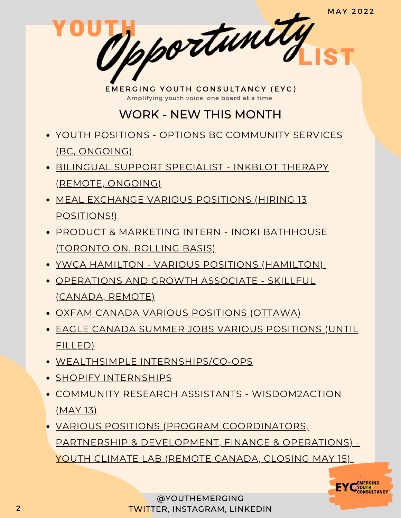EMERGING YOUTH CONSULTANCY (EYC) Amplifying youth voice, one board at a time.

pportunity

## WORK - NEW THIS MONTH

- YOUTH [POSITIONS](https://www.options.bc.ca/careers-youth#adventure) OPTIONS BC [COMMUNITY](https://www.options.bc.ca/careers-youth#adventure) SERVICES (BC, ONGOING)
- BILINGUAL SUPPORT [SPECIALIST](https://www.linkedin.com/jobs/view/2857854242) INKBLOT THERAPY (REMOTE, ONGOING)
- MEAL [EXCHANGE](https://www.mealexchange.com/opportunities) VARIOUS POSITIONS (HIRING 13 POSITIONS!)
- PRODUCT & MARKETING INTERN INOKI [BATHHOUSE](https://inokibathhouse.com/pages/careers) (TORONTO ON, ROLLING BASIS)
- YWCA HAMILTON VARIOUS [POSITIONS](https://ywcahamilton.easyapply.co/) (HAMILTON)
- [OPERATIONS](https://www.linkedin.com/jobs/view/3051482789) AND GROWTH ASSOCIATE SKILLFUL (CANADA, REMOTE)
- OXFAM CANADA VARIOUS [POSITIONS](https://www.oxfam.ca/who-we-are/our-people/careers/) (OTTAWA)
- EAGLE CANADA SUMMER JOBS VARIOUS [POSITIONS](https://egale.ca/canada-summer-jobs/) (UNTIL FILLED)
- WEALTHSIMPLE [INTERNSHIPS/CO-OPS](https://jobs.lever.co/wealthsimple?commitment=Intern)
- SHOPIFY [INTERNSHIPS](https://internships.shopify.com/)
- COMMUNITY RESEARCH ASSISTANTS [WISDOM2ACTION](https://www.wisdom2action.org/hiring/) (MAY 13)
- VARIOUS POSITIONS (PROGRAM [COORDINATORS,](https://www.youthclimatelab.org/join-the-team) PARTNERSHIP & DEVELOPMENT, FINANCE & OPERATIONS) - YOUTH CLIMATE LAB (REMOTE CANADA, CLOSING MAY 15)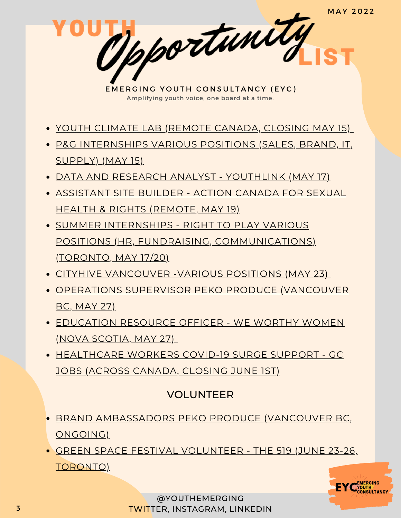Mpportunity EMERGING YOUTH CONSULTANCY (EYC) Amplifying youth voice, one board at a time. YOUTH [CLIMATE](https://www.youthclimatelab.org/join-the-team) LAB (REMOTE CANADA, CLOSING MAY 15) P&G [INTERNSHIPS](https://www.linkedin.com/posts/amaryllisjones_looking-for-a-work-term-from-september-activity-6924909239140278272-uczi?utm_source=linkedin_share&utm_medium=member_desktop_web) VARIOUS POSITIONS (SALES, BRAND, IT, SUPPLY) (MAY 15)

- DATA AND RESEARCH ANALYST [YOUTHLINK](https://youthlink.ca/join-us/employment/data-and-research-analyst-job-posting-1266/) (MAY 17)
- [ASSISTANT](https://www.actioncanadashr.org/news/2022-05-09-were-hiring-assistant-site-builder-canada-summer-jobs-program) SITE BUILDER ACTION CANADA FOR SEXUAL HEALTH & RIGHTS (REMOTE, MAY 19)
- SUMMER INTERNSHIPS RIGHT TO PLAY VARIOUS POSITIONS (HR, FUNDRAISING, [COMMUNICATIONS\)](https://righttoplay.ca/en-ca/national-offices/national-office-canada/careers/?type=global#listings) (TORONTO, MAY 17/20)
- CITYHIVE [VANCOUVER](https://www.linkedin.com/posts/cityhive-vancouver_apply-now-for-our-5-canada-summer-jobs-activity-6928101052202303488-eBmh?utm_source=linkedin_share&utm_medium=member_desktop_web) -VARIOUS POSITIONS (MAY 23)
- [OPERATIONS](https://pekoproduce.notion.site/Peko-Produce-Job-Board-adfa3bc6383945fd80a22667fabf801a?p=596b394999f24a598ed8c52182327dd3) SUPERVISOR PEKO PRODUCE (VANCOUVER BC, MAY 27)
- [EDUCATION](https://www.linkedin.com/jobs/view/3062739133) RESOURCE OFFICER WE WORTHY WOMEN (NOVA SCOTIA, MAY 27)
- [HEALTHCARE](https://emploisfp-psjobs.cfp-psc.gc.ca/psrs-srfp/applicant/page1800?toggleLanguage=en&poster=1646902) WORKERS COVID-19 SURGE SUPPORT GC JOBS (ACROSS CANADA, CLOSING JUNE 1ST)

### VOLUNTEER

- BRAND [AMBASSADORS](https://pekoproduce.notion.site/Peko-Produce-Job-Board-adfa3bc6383945fd80a22667fabf801a?p=bd3d57de09b24702a9e22b7f1c16fc2a) PEKO PRODUCE (VANCOUVER BC, ONGOING)
- GREEN SPACE FESTIVAL [VOLUNTEER](http://the519.org/Volunteer) THE 519 (JUNE 23-26, TORONTO)



@YOUTHEMERGING 3 TWITTER, INSTAGRAM, LINKEDIN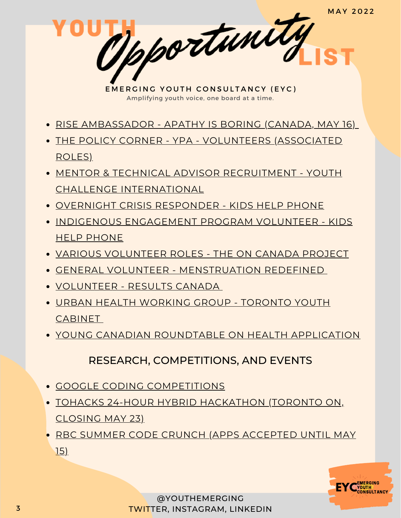EMERGING YOUTH CONSULTANCY (EYC) Amplifying youth voice, one board at a time.

pportunity

- RISE [AMBASSADOR](https://www.apathyisboring.com/joinrise) APATHY IS BORING (CANADA, MAY 16)
- THE POLICY CORNER YPA [VOLUNTEERS](https://www.ypapolicycorner.org/join-us) (ASSOCIATED ROLES)
- MENTOR & TECHNICAL ADVISOR RECRUITMENT YOUTH CHALLENGE [INTERNATIONAL](https://www.yci.org/InnovateMYFuture/Climate-Leader-call-for-mentors/)
- OVERNIGHT CRISIS [RESPONDER](https://kidshelpphone.ca/get-involved/participate/call-volunteers-crisis-text-line) KIDS HELP PHONE
- INDIGENOUS [ENGAGEMENT](https://kidshelpphone.ca/get-involved/first-nations-inuit-and-metis/volunteer-for-our-indigenous-engagement-program/) PROGRAM VOLUNTEER KIDS HELP PHONE
- VARIOUS [VOLUNTEER](https://oncanadaproject.ca/volunteer) ROLES THE ON CANADA PROJECT
- GENERAL VOLUNTEER [MENSTRUATION](https://docs.google.com/forms/d/e/1FAIpQLSe-ORQRxArU5ZwQWT3JfGEjRtyUwanp5p64UPHwK1nL5Pz__w/viewform) REDEFINED
- [VOLUNTEER](https://resultscanada.ca/#sign-up/) RESULTS CANADA
- URBAN HEALTH [WORKING](https://www.linkedin.com/posts/shahithya_youth-health-advocacy-activity-6862529000045199360-NZul/) GROUP TORONTO YOUTH **CABINET**
- YOUNG CANADIAN [ROUNDTABLE](https://docs.google.com/forms/d/e/1FAIpQLSc88LBd5fPoBXv-1-EerpfIAXvfwDaHEYhsvfPGckg67xrW6g/viewform) ON HEALTH APPLICATION

RESEARCH, COMPETITIONS, AND EVENTS

- GOOGLE CODING [COMPETITIONS](https://codingcompetitions.withgoogle.com/)
- TOHACKS 24-HOUR HYBRID [HACKATHO](https://www.linkedin.com/posts/tohacks_team-tech-recruitment-activity-6919298661348753408-7aXX?utm_source=linkedin_share&utm_medium=member_desktop_web)N (TORONTO ON, CLOSING MAY 23)
- **RBC [SUMMER](https://jobs.rbc.com/ca/en/code-crunch) CODE CRUNCH (APPS ACCEPTED UNTIL MAY** 15)

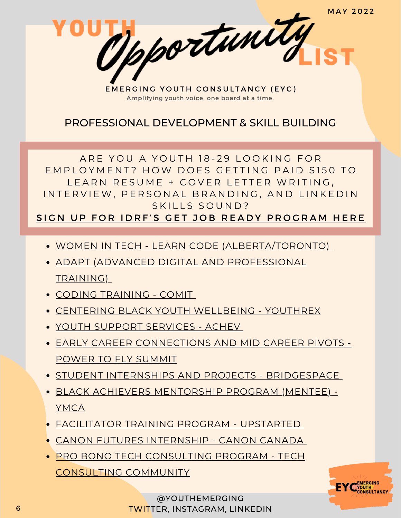EMERGING YOUTH CONSULTANCY (EYC) Amplifying youth voice, one board at a time.

pportunity

#### PROFESSIONAL DEVELOPMENT & SKILL BUILDING

ARE YOU A YOUTH 18-29 LOOKING FOR EMPLOYMENT? HOW DOES GETTING PAID \$150 TO LEARN RESUME + COVER LETTER WRITING. IN TERVIEW, PERSONAL BRANDING, AND LINKEDIN SKILLS SOUND?

SIGN UP FOR IDRF'S GET JOB READY PROGRA[M](https://idrf.ca/project/getjobready/) HERE

- WOMEN IN TECH LEARN CODE [\(ALBERTA/TORONTO\)](https://idrf.ca/project/women-in-tech/)
- ADAPT (ADVANCED DIGITAL AND [PROFESSIONAL](https://www.ryerson.ca/adapt/Applicants/adapt-for-newcomers/) TRAINING)
- CODING [TRAINING](https://www.comit.org/students?_ga=2.204323856.1034149481.1642111726-1913408940.1642111726) COMI[T](https://www.comit.org/students?_ga=2.204323856.1034149481.1642111726-1913408940.1642111726)
- CENTERING BLACK YOUTH [WELLBEING](https://youthrex.com/abr-certificate/) YOUTHREX
- YOUTH SUPPORT [SERVICES](https://achev.ca/services/youth/) ACHEV
- EARLY CAREER [CONNECTIONS](https://summit.powertofly.com/) AND MID CAREER PIVOTS POWER TO FLY SUMMIT
- **STUDENT INTERNSHIPS AND PROJECTS [BRIDGESPACE](https://bridgespace.io/)**
- BLACK ACHIEVERS [MENTORSHIP](https://ymcagta.org/youth-programs/Black-Achievers-Mentorship-Program) PROGRAM (MENTEE) YMCA
- [FACILITATOR](https://docs.google.com/forms/d/e/1FAIpQLSe1fDhYODRagameDOKsf4_FfWns-yNAQEeNTHWK5Pn7XxHuog/viewform) TRAINING PROGRAM UPSTARTED
- CANON FUTURES [INTERNSHIP](https://www.canonfutures.ca/) CANON CANADA
- PRO BONO TECH [CONSULTING](https://techconsultingcommunity.com/pro-bono-tech-consulting/) PROGRAM TECH CONSULTING COMMUNITY



@YOUTHEMERGING TWITTER, INSTAGRAM, LINKEDIN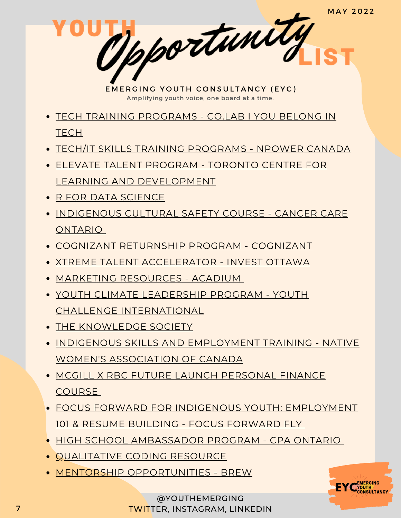EMERGING YOUTH CONSULTANCY (EYC) Amplifying youth voice, one board at a time.

pportunity

- TECH TRAINING [PROGRAMS](https://www.joincolab.io/#Program-Tracks) CO.LAB I YOU BELONG IN **TECH**
- TECH/IT SKILLS TRAINING [PROGRAMS](https://npowercanada.ca/) NPOWER CANADA
- ELEVATE TALENT PROGRAM TORONTO CENTRE FOR LEARNING AND [DEVELOPMENT](https://www.tccld.org/programs/elevatetalent/)
- R FOR DATA [SCIENCE](https://r4ds.had.co.nz/)
- **[INDIGENOUS](https://elearning.cancercare.on.ca/course/view.php?id=101) CULTURAL SAFETY COURSE CANCER CARE** ONTARIO
- COGNIZANT [RETURNSHIP](https://careers.cognizant.com/global/en/cognizant-returnship-program) PROGRAM COGNIZANT
- XTREME TALENT [ACCELERATOR](https://www.investottawa.ca/xtreme-talent-accelerator/?utm_source=LinkedIn&utm_medium=Paid%20Ads&utm_campaign=XTAP%20Paid%20Ads&li_fat_id=f24b5ec5-db43-4428-88f9-92b5a2d0c0dc) INVEST OTTAWA
- MARKETING [RESOURCES](https://acadium.com/) ACADIUM
- YOUTH CLIMATE LEADERSHIP PROGRAM YOUTH CHALLENGE [INTERNATIONAL](https://www.yci.org/innovatemyfuture/youth-climate-leadership/)
- THE [KNOWLEDGE](https://tks.world/program/) SOCIETY
- **INDIGENOUS SKILLS AND [EMPLOYMENT](https://www.nwac.ca/iset/) TRAINING NATIVE** WOMEN'S ASSOCIATION OF CANADA
- MCGILL X RBC FUTURE LAUNCH [PERSONAL](https://learn.mcgillpersonalfinance.com/account/login/) FINANCE COURSE
- FOCUS FORWARD FOR INDIGENOUS YOUTH: [EMPLOYMENT](https://docs.google.com/forms/d/e/1FAIpQLSfRCREo2hIabn1L271SDl0wPRkApB5N12_6bON-DnyYu8lGEg/viewform) 101 & RESUME BUILDING - FOCUS FORWARD FLY
- HIGH SCHOOL [AMBASSADOR](https://www.cpaontario.ca/become-a-cpa/why-cpa/high-school-ambassador-program) PROGRAM CPA ONTARIO
- **[QUALITATIVE](https://www.linkedin.com/posts/drphilipadu_qualitative-data-coding-workshop-activity-6819644783024230400-d0mU/) CODING RESOURCE**
- MENTORSHIP [OPPORTUNITIES](https://www.instagram.com/brew_ca/) BREW